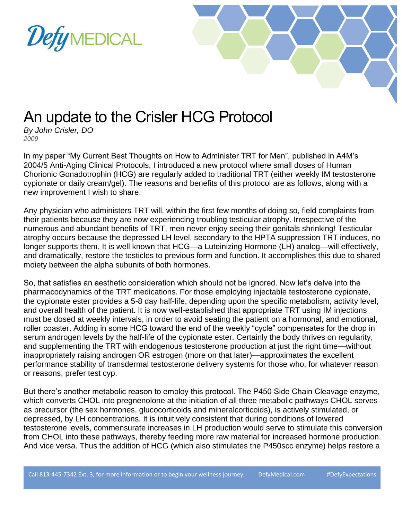



## An update to the Crisler HCG Protocol

*By John Crisler, DO 2009*

In my paper "My Current Best Thoughts on How to Administer TRT for Men", published in A4M's 2004/5 Anti-Aging Clinical Protocols, I introduced a new protocol where small doses of Human Chorionic Gonadotrophin (HCG) are regularly added to traditional TRT (either weekly IM testosterone cypionate or daily cream/gel). The reasons and benefits of this protocol are as follows, along with a new improvement I wish to share.

Any physician who administers TRT will, within the first few months of doing so, field complaints from their patients because they are now experiencing troubling testicular atrophy. Irrespective of the numerous and abundant benefits of TRT, men never enjoy seeing their genitals shrinking! Testicular atrophy occurs because the depressed LH level, secondary to the HPTA suppression TRT induces, no longer supports them. It is well known that HCG—a Luteinizing Hormone (LH) analog—will effectively, and dramatically, restore the testicles to previous form and function. It accomplishes this due to shared moiety between the alpha subunits of both hormones.

So, that satisfies an aesthetic consideration which should not be ignored. Now let's delve into the pharmacodynamics of the TRT medications. For those employing injectable testosterone cypionate, the cypionate ester provides a 5-8 day half-life, depending upon the specific metabolism, activity level, and overall health of the patient. It is now well-established that appropriate TRT using IM injections must be dosed at weekly intervals, in order to avoid seating the patient on a hormonal, and emotional, roller coaster. Adding in some HCG toward the end of the weekly "cycle" compensates for the drop in serum androgen levels by the half-life of the cypionate ester. Certainly the body thrives on regularity, and supplementing the TRT with endogenous testosterone production at just the right time—without inappropriately raising androgen OR estrogen (more on that later)—approximates the excellent performance stability of transdermal testosterone delivery systems for those who, for whatever reason or reasons, prefer test cyp.

But there's another metabolic reason to employ this protocol. The P450 Side Chain Cleavage enzyme, which converts CHOL into pregnenolone at the initiation of all three metabolic pathways CHOL serves as precursor (the sex hormones, glucocorticoids and mineralcorticoids), is actively stimulated, or depressed, by LH concentrations. It is intuitively consistent that during conditions of lowered testosterone levels, commensurate increases in LH production would serve to stimulate this conversion from CHOL into these pathways, thereby feeding more raw material for increased hormone production. And vice versa. Thus the addition of HCG (which also stimulates the P450scc enzyme) helps restore a